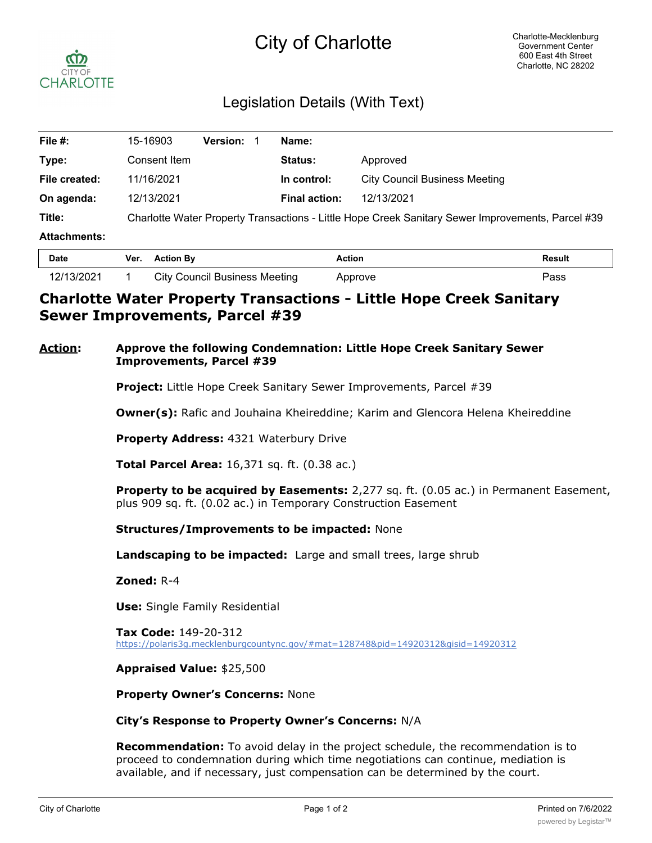# City of Charlotte



# Legislation Details (With Text)

| File #:             | 15-16903                                                                                          | <b>Version:</b> | Name:                |                                      |  |
|---------------------|---------------------------------------------------------------------------------------------------|-----------------|----------------------|--------------------------------------|--|
| Type:               | Consent Item                                                                                      |                 | <b>Status:</b>       | Approved                             |  |
| File created:       | 11/16/2021                                                                                        |                 | In control:          | <b>City Council Business Meeting</b> |  |
| On agenda:          | 12/13/2021                                                                                        |                 | <b>Final action:</b> | 12/13/2021                           |  |
| Title:              | Charlotte Water Property Transactions - Little Hope Creek Sanitary Sewer Improvements, Parcel #39 |                 |                      |                                      |  |
| <b>Attachments:</b> |                                                                                                   |                 |                      |                                      |  |
| $P - 1$             | $M_{\rm BH} = 0.001$ and $M_{\rm BH} = 0.001$                                                     |                 | $A - 11 - 12$        | <b>D</b> - - - - 14                  |  |

| <b>Date</b> | Ver. | <b>Action By</b>                     | Action  | Result |
|-------------|------|--------------------------------------|---------|--------|
| 12/13/2021  |      | <b>City Council Business Meeting</b> | Approve | ⊃ass   |

## **Charlotte Water Property Transactions - Little Hope Creek Sanitary Sewer Improvements, Parcel #39**

### **Action: Approve the following Condemnation: Little Hope Creek Sanitary Sewer Improvements, Parcel #39**

**Project:** Little Hope Creek Sanitary Sewer Improvements, Parcel #39

**Owner(s):** Rafic and Jouhaina Kheireddine; Karim and Glencora Helena Kheireddine

**Property Address:** 4321 Waterbury Drive

**Total Parcel Area:** 16,371 sq. ft. (0.38 ac.)

**Property to be acquired by Easements:** 2,277 sq. ft. (0.05 ac.) in Permanent Easement, plus 909 sq. ft. (0.02 ac.) in Temporary Construction Easement

#### **Structures/Improvements to be impacted:** None

**Landscaping to be impacted:** Large and small trees, large shrub

**Zoned:** R-4

**Use:** Single Family Residential

**Tax Code:** 149-20-312 https://polaris3g.mecklenburgcountync.gov/#mat=128748&pid=14920312&gisid=14920312

#### **Appraised Value:** \$25,500

**Property Owner's Concerns:** None

#### **City's Response to Property Owner's Concerns:** N/A

**Recommendation:** To avoid delay in the project schedule, the recommendation is to proceed to condemnation during which time negotiations can continue, mediation is available, and if necessary, just compensation can be determined by the court.